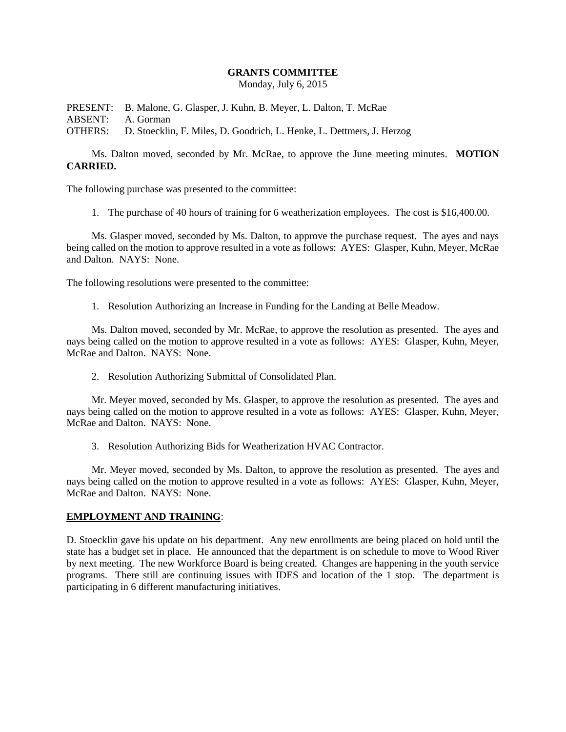## **GRANTS COMMITTEE**

Monday, July 6, 2015

PRESENT: B. Malone, G. Glasper, J. Kuhn, B. Meyer, L. Dalton, T. McRae ABSENT: A. Gorman OTHERS: D. Stoecklin, F. Miles, D. Goodrich, L. Henke, L. Dettmers, J. Herzog

Ms. Dalton moved, seconded by Mr. McRae, to approve the June meeting minutes. **MOTION CARRIED.**

The following purchase was presented to the committee:

1. The purchase of 40 hours of training for 6 weatherization employees. The cost is \$16,400.00.

Ms. Glasper moved, seconded by Ms. Dalton, to approve the purchase request. The ayes and nays being called on the motion to approve resulted in a vote as follows: AYES: Glasper, Kuhn, Meyer, McRae and Dalton. NAYS: None.

The following resolutions were presented to the committee:

1. Resolution Authorizing an Increase in Funding for the Landing at Belle Meadow.

Ms. Dalton moved, seconded by Mr. McRae, to approve the resolution as presented. The ayes and nays being called on the motion to approve resulted in a vote as follows: AYES: Glasper, Kuhn, Meyer, McRae and Dalton. NAYS: None.

2. Resolution Authorizing Submittal of Consolidated Plan.

Mr. Meyer moved, seconded by Ms. Glasper, to approve the resolution as presented. The ayes and nays being called on the motion to approve resulted in a vote as follows: AYES: Glasper, Kuhn, Meyer, McRae and Dalton. NAYS: None.

3. Resolution Authorizing Bids for Weatherization HVAC Contractor.

Mr. Meyer moved, seconded by Ms. Dalton, to approve the resolution as presented. The ayes and nays being called on the motion to approve resulted in a vote as follows: AYES: Glasper, Kuhn, Meyer, McRae and Dalton. NAYS: None.

## **EMPLOYMENT AND TRAINING**:

D. Stoecklin gave his update on his department. Any new enrollments are being placed on hold until the state has a budget set in place. He announced that the department is on schedule to move to Wood River by next meeting. The new Workforce Board is being created. Changes are happening in the youth service programs. There still are continuing issues with IDES and location of the 1 stop. The department is participating in 6 different manufacturing initiatives.